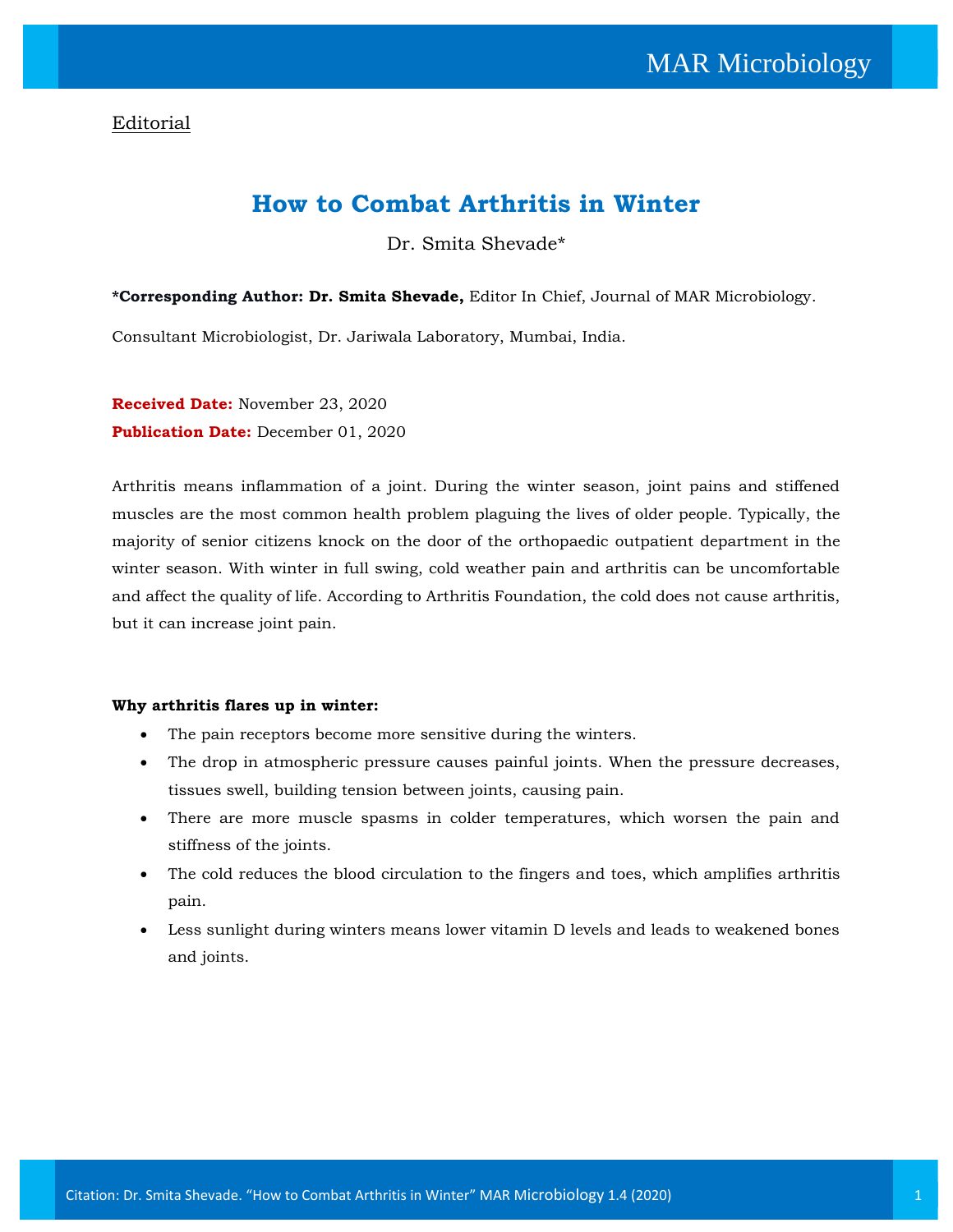## Editorial

## **How to Combat Arthritis in Winter**

Dr. Smita Shevade\*

**\*Corresponding Author: Dr. Smita Shevade,** Editor In Chief, Journal of MAR Microbiology.

Consultant Microbiologist, Dr. Jariwala Laboratory, Mumbai, India.

**Received Date:** November 23, 2020 **Publication Date:** December 01, 2020

Arthritis means inflammation of a joint. During the winter season, joint pains and stiffened muscles are the most common health problem plaguing the lives of older people. Typically, the majority of senior citizens knock on the door of the orthopaedic outpatient department in the winter season. With winter in full swing, cold weather pain and arthritis can be uncomfortable and affect the quality of life. According to Arthritis Foundation, the cold does not cause arthritis, but it can increase joint pain.

## **Why arthritis flares up in winter:**

- The pain receptors become more sensitive during the winters.
- The drop in atmospheric pressure causes painful joints. When the pressure decreases, tissues swell, building tension between joints, causing pain.
- There are more muscle spasms in colder temperatures, which worsen the pain and stiffness of the joints.
- The cold reduces the blood circulation to the fingers and toes, which amplifies arthritis pain.
- Less sunlight during winters means lower vitamin D levels and leads to weakened bones and joints.